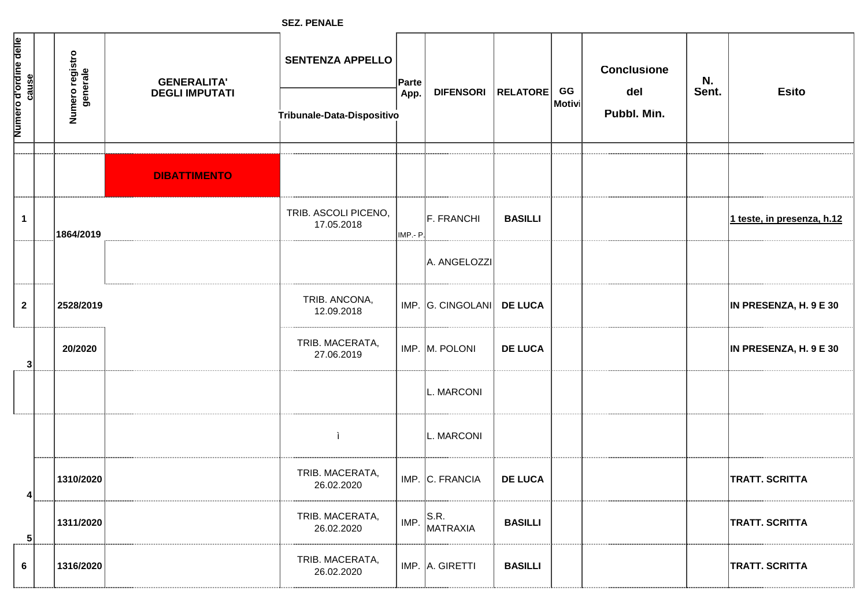**SEZ. PENALE**

| Numero d'ordine delle | cause          | Numero registro<br>generale | <b>GENERALITA'</b><br><b>DEGLI IMPUTATI</b> | <b>SENTENZA APPELLO</b><br>Tribunale-Data-Dispositivo | Parte<br>App. | <b>DIFENSORI</b>          | RELATORE       | GG<br>Motivi | <b>Conclusione</b><br>del<br>Pubbl. Min. | N.<br>Sent. | <b>Esito</b>               |
|-----------------------|----------------|-----------------------------|---------------------------------------------|-------------------------------------------------------|---------------|---------------------------|----------------|--------------|------------------------------------------|-------------|----------------------------|
|                       |                |                             |                                             |                                                       |               |                           |                |              |                                          |             |                            |
|                       |                |                             | <b>DIBATTIMENTO</b>                         |                                                       |               |                           |                |              |                                          |             |                            |
|                       | $\mathbf{1}$   | 1864/2019                   |                                             | TRIB. ASCOLI PICENO,<br>17.05.2018                    | IMP .- P      | F. FRANCHI                | <b>BASILLI</b> |              |                                          |             | 1 teste, in presenza, h.12 |
|                       |                |                             |                                             |                                                       |               | A. ANGELOZZI              |                |              |                                          |             |                            |
|                       | $\mathbf{2}$   | 2528/2019                   |                                             | TRIB. ANCONA,<br>12.09.2018                           |               | IMP. G. CINGOLANI DE LUCA |                |              |                                          |             | IN PRESENZA, H. 9 E 30     |
|                       | 3 <sup>1</sup> | 20/2020                     |                                             | TRIB. MACERATA,<br>27.06.2019                         |               | IMP. M. POLONI            | <b>DE LUCA</b> |              |                                          |             | IN PRESENZA, H. 9 E 30     |
|                       |                |                             |                                             |                                                       |               | L. MARCONI                |                |              |                                          |             |                            |
|                       |                |                             |                                             |                                                       |               | L. MARCONI                |                |              |                                          |             |                            |
|                       | 4              | 1310/2020                   |                                             | TRIB. MACERATA,<br>26.02.2020                         |               | IMP. C. FRANCIA           | <b>DE LUCA</b> |              |                                          |             | <b>TRATT. SCRITTA</b>      |
|                       | 5 <sup>1</sup> | 1311/2020                   |                                             | TRIB. MACERATA,<br>26.02.2020                         | IMP.          | S.R.<br><b>MATRAXIA</b>   | <b>BASILLI</b> |              |                                          |             | <b>TRATT. SCRITTA</b>      |
|                       | 6              | 1316/2020                   |                                             | TRIB. MACERATA,<br>26.02.2020                         |               | IMP. A. GIRETTI           | <b>BASILLI</b> |              |                                          |             | <b>TRATT. SCRITTA</b>      |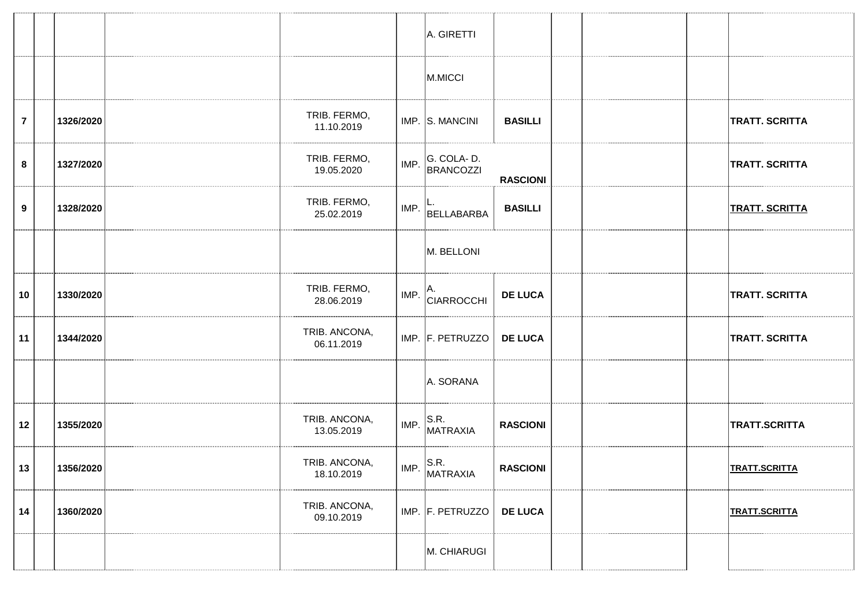|                |           |                             |      | A. GIRETTI                         |                 |  |                       |
|----------------|-----------|-----------------------------|------|------------------------------------|-----------------|--|-----------------------|
|                |           |                             |      | M.MICCI                            |                 |  |                       |
| $\overline{7}$ | 1326/2020 | TRIB. FERMO,<br>11.10.2019  |      | IMP. S. MANCINI                    | <b>BASILLI</b>  |  | <b>TRATT. SCRITTA</b> |
| 8              | 1327/2020 | TRIB. FERMO,<br>19.05.2020  | IMP. | G. COLA-D.<br><b>BRANCOZZI</b>     | <b>RASCIONI</b> |  | <b>TRATT. SCRITTA</b> |
| 9              | 1328/2020 | TRIB. FERMO,<br>25.02.2019  | IMP. | BELLABARBA                         | <b>BASILLI</b>  |  | <b>TRATT. SCRITTA</b> |
|                |           |                             |      | M. BELLONI                         |                 |  |                       |
| 10             | 1330/2020 | TRIB. FERMO,<br>28.06.2019  | IMP. | A.<br>CIARROCCHI                   | <b>DE LUCA</b>  |  | <b>TRATT. SCRITTA</b> |
| 11             | 1344/2020 | TRIB. ANCONA,<br>06.11.2019 |      | IMP. F. PETRUZZO                   | <b>DE LUCA</b>  |  | <b>TRATT. SCRITTA</b> |
|                |           |                             |      | A. SORANA                          |                 |  |                       |
| 12             | 1355/2020 | TRIB. ANCONA,<br>13.05.2019 | IMP. | S.R.<br>MATRAXIA                   | <b>RASCIONI</b> |  | TRATT.SCRITTA         |
| 13             | 1356/2020 | TRIB. ANCONA,<br>18.10.2019 |      | $\vert$ IMP. $\vert$ S.R. MATRAXIA | <b>RASCIONI</b> |  | <b>TRATT.SCRITTA</b>  |
| 14             | 1360/2020 | TRIB. ANCONA,<br>09.10.2019 |      | IMP. F. PETRUZZO                   | <b>DE LUCA</b>  |  | <b>TRATT.SCRITTA</b>  |
|                |           |                             |      | M. CHIARUGI                        |                 |  |                       |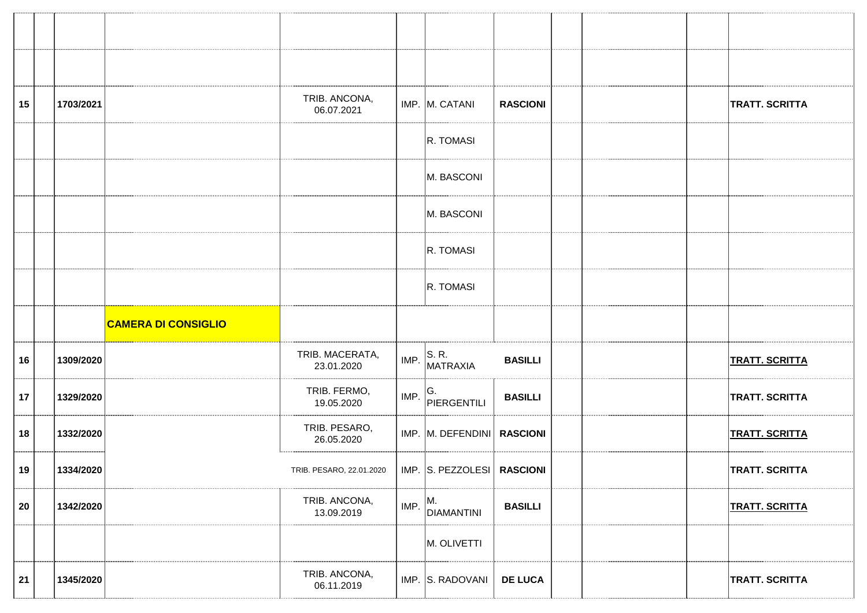| 15 | 1703/2021 |                            | TRIB. ANCONA,<br>06.07.2021   |      | IMP. M. CATANI               | <b>RASCIONI</b> |  | <b>TRATT. SCRITTA</b> |
|----|-----------|----------------------------|-------------------------------|------|------------------------------|-----------------|--|-----------------------|
|    |           |                            |                               |      | R. TOMASI                    |                 |  |                       |
|    |           |                            |                               |      | M. BASCONI                   |                 |  |                       |
|    |           |                            |                               |      | M. BASCONI                   |                 |  |                       |
|    |           |                            |                               |      | R. TOMASI                    |                 |  |                       |
|    |           |                            |                               |      | R. TOMASI                    |                 |  |                       |
|    |           | <b>CAMERA DI CONSIGLIO</b> |                               |      |                              |                 |  |                       |
|    |           |                            |                               |      |                              |                 |  |                       |
| 16 | 1309/2020 |                            | TRIB. MACERATA,<br>23.01.2020 | IMP. | S. R.<br>MATRAXIA            | <b>BASILLI</b>  |  | <b>TRATT. SCRITTA</b> |
| 17 | 1329/2020 |                            | TRIB. FERMO,<br>19.05.2020    | IMP. | G.<br>PIERGENTILI            | <b>BASILLI</b>  |  | <b>TRATT. SCRITTA</b> |
| 18 | 1332/2020 |                            | TRIB. PESARO,<br>26.05.2020   |      | IMP. M. DEFENDINI   RASCIONI |                 |  | <b>TRATT. SCRITTA</b> |
| 19 | 1334/2020 |                            | TRIB. PESARO, 22.01.2020      |      | IMP. S. PEZZOLESI RASCIONI   |                 |  | <b>TRATT. SCRITTA</b> |
| 20 | 1342/2020 |                            | TRIB. ANCONA,<br>13.09.2019   | IMP. | M.<br><b>DIAMANTINI</b>      | <b>BASILLI</b>  |  | <b>TRATT. SCRITTA</b> |
|    |           |                            |                               |      | M. OLIVETTI                  |                 |  |                       |